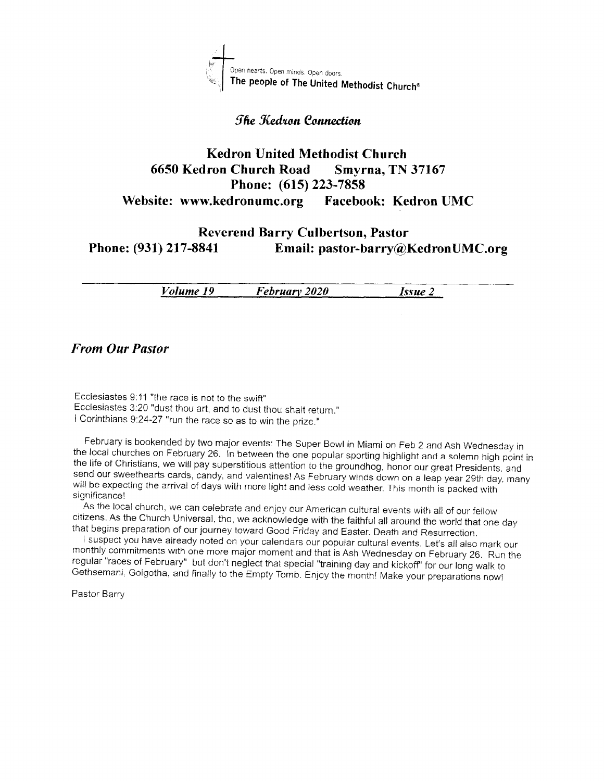

#### *She Kedron Connection*

#### Kedron United Methodist Church <sup>6650</sup>Kedron Church Road Smyrna, TN <sup>37167</sup> Phone: (615) 223-7858 Website: www.kedronumc.org Facebook: Kedron UMC

#### Reverend Barry Culbertson, Pastor Phone: (931) 217-8841 Email: pastor-barry@KedronUMC.org

Volume 19 Februarv <sup>2020</sup> Issue <sup>2</sup>

From Our Pastor

Ecclesiastes 9:11 "the race is not to the swift" Ecclesiastes 3:20 "dust thou art, and to dust thou shalt return." *i* Corinthians 9:24-27 "run the race so as to win the prize."

February is bookended by two major events: The Super Bowl in Miami on Feb 2 and Ash Wednesday in<br>the local churches on February 26. In between the one popular sporting highlight and a solemn high point in<br>the life of Chris

citizens. As the Church Universal, tho, we acknowledge with the faithful all around the world that one day<br>that begins preparation of our journey toward Good Friday and Easter. Death and Resurrection.<br>I suspect you have ai

monthly commitments with one more major moment and that is Ash Wednesday on February 26. Run the regular "races of February" but don't neglect that special "training day and kickoff" for our long walk to Gethsemani, Golgot

Pastor Barry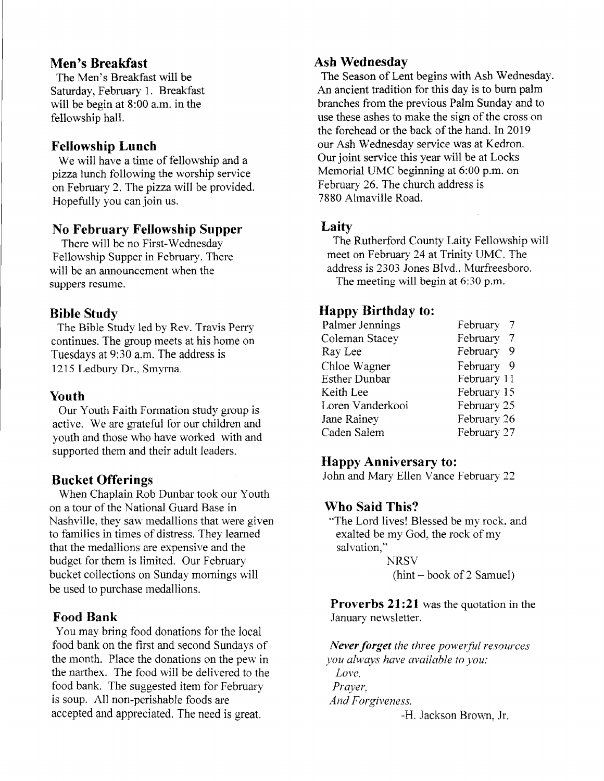#### Men's Breakfast

The Men's Breakfast wili be Saturday, February 1. Breakfast will be begin at 8:00 a.m. in the fellowship hall.

#### Fellowship Lunch

We will have a time of fellowship and a pizza lunch following the worship service on February 2. The pizzawill be provided. Hopefully you can join us.

#### No February Fellowship Supper

There will be no First-Wednesday Fellowship Supper in February. There will be an announcement when the suppers resume.

#### Bible Study

The Bible Study led by Rev. Travis Perry continues. The group meets at his home on Tuesdays at 9:30 a.m. The address is 1215 Ledbury Dr., Smyrna.

#### Youth

Our Youth Faith Formation study group is active. We are grateful for our children and youth and those who have worked with and supported them and their adult leaders.

#### Bucket Offerings

When Chaplain Rob Dunbar took our Youth on a tour of the National Guard Base in Nashville. they saw medallions that were given to families in times of distress. They learned that the medallions are expensive and the budget for them is limited. Our February bucket collections on Sunday mornings will be used to purchase medallions.

#### Food Bank

You may bring food donations for the local food bank on the first and second Sundays of the month. Place the donations on the pew in the narthex. The food will be delivered to the food bank. The suggested item for February is soup. All non-perishable foods are accepted and appreciated. The need is great.

#### Ash Wednesday

The Season of Lent begins with Ash Wednesday. An ancient tradition for this day is to burn palm branches from the previous Palm Sunday and to use these ashes to make the sign of the cross on the forehead or the back of the hand. In 2019 our Ash Wednesday service was at Kedron. Our joint service this year will be at Locks Memorial UMC beginning at 6:00 p.m. on February 26. The church address is 7880 Almaville Road.

#### **Laity**

The Rutherford County Laity Fellowship will meet on February 24 at Trinity LMC. The address is 2303 Jones Blvd.. Murfreesboro. The meeting will begin at  $6:30$  p.m.

#### Happy Birthday to:

| Palmer Jennings      | February 7  |
|----------------------|-------------|
| Coleman Stacey       | February 7  |
| Ray Lee              | February 9  |
| Chloe Wagner         | February 9  |
| <b>Esther Dunbar</b> | February 11 |
| Keith Lee            | February 15 |
| Loren Vanderkooi     | February 25 |
| Jane Rainey          | February 26 |
| Caden Salem          | February 27 |
|                      |             |

#### Happy Anniversary to:

John and Mary Ellen Vance February 22

#### Who Said This?

"The Lord lives! Blessed be my rock. and exalted be my God, the rock of my salvation." **NRSV** 

 $(hint - book of 2 Samuel)$ 

**Proverbs 21:21** was the quotation in the January newsletter.

Never forget the three powerful resources you always have available to you: Love. Prayer, And Forgiveness.

-H. Jackson Brown. Jr.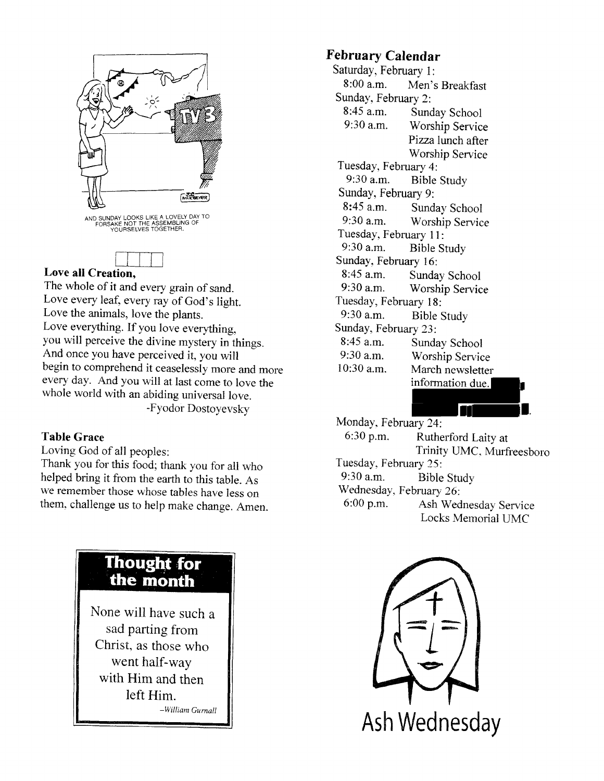



#### Love all Creation,

The whole of it and every grain of sand. Love every leaf, every ray of God's light. Love the animals, love the piants. Love everything. If you love everything. you will perceive the divine mystery in things. And once you have perceived it. you will begin to comprehend it ceaselessly more and more every day. And you will at last come to love the whole world with an abiding universal love. -Fyodor Dostoyevsky

#### Table Grace

Loving God of all peoples:

Thank you for this food; thank you for all who helped bring it from the earth to this table. As we remember those whose tables have less on them. challenge us to help make change. Amen.

## **Thought for** the month

None will have such <sup>a</sup> sad parting from Christ, as those who went haif-way with Him and then left Him. -William Gurnall

### February Calendar

Saturday, February 1:<br>8:00 a.m. Men's Men's Breakfast Sunday. February 2: 8:45 a.m. Sunday School<br>9:30 a.m. Worshin Service Worship Service Pizza lunch after Worship Service Tuesday, February 4:<br>9:30 a.m. Bible Bible Study Sunday, February 9: 8:45 a.m. Sunday School<br>9:30 a.m. Worship Servic Worship Service Tuesday, February 11: 9:30 a.m. Bible Study Sunday, February 16: 8:45 a.m. Sunday School<br>9:30 a.m. Worship Servic Worship Service Tuesday, February 18: 9:30 a.m. Bible Study Sunday, February 23: 8:45 a.m. Sunday School<br>9:30 a.m. Worship Servic 9:30 a.m. Worship Service<br>10:30 a.m. March newsletter March newsletter information due.

Monday. February 24: 6:30 p.m. Rutherford Laity at Trinity UMC, Murfreesboro Tuesday, February 25: 9:30 a.m. Bible Study Wednesday, February 26:<br>6:00 p.m. Ash Wed Ash Wednesday Service Locks Memorial UMC